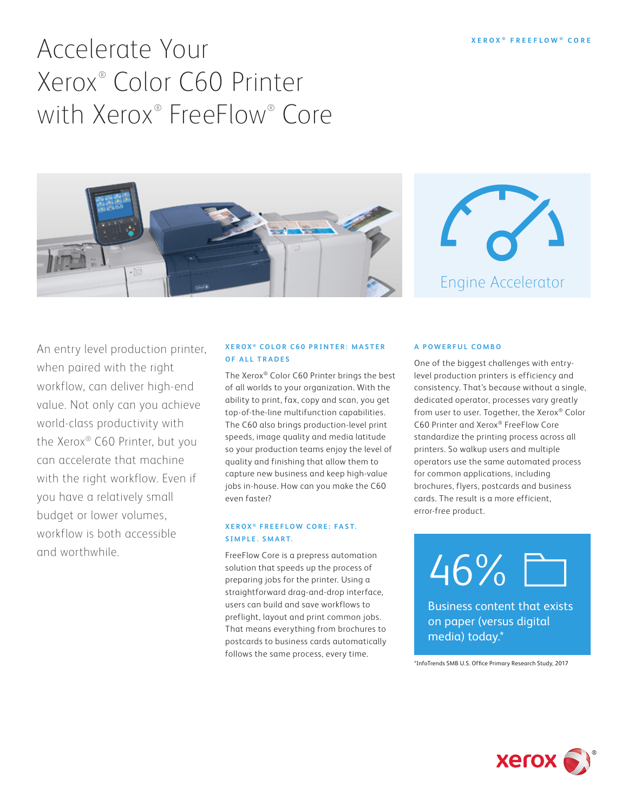# Accelerate Your Xerox® Color C60 Printer with Xerox® FreeFlow® Core





An entry level production printer, when paired with the right workflow, can deliver high-end value. Not only can you achieve world-class productivity with the Xerox® C60 Printer, but you can accelerate that machine with the right workflow. Even if you have a relatively small budget or lower volumes, workflow is both accessible and worthwhile.

### **XEROX**<sup>®</sup> COLOR C60 PRINTER: MASTER **OF ALL TRADES**

The Xerox® Color C60 Printer brings the best of all worlds to your organization. With the ability to print, fax, copy and scan, you get top-of-the-line multifunction capabilities. The C60 also brings production-level print speeds, image quality and media latitude so your production teams enjoy the level of quality and finishing that allow them to capture new business and keep high-value jobs in-house. How can you make the C60 even faster?

#### **XEROX ® F R E E F L O W C O R E : F A S T. SIMPLE. SMART.**

FreeFlow Core is a prepress automation solution that speeds up the process of preparing jobs for the printer. Using a straightforward drag-and-drop interface, users can build and save workflows to preflight, layout and print common jobs. That means everything from brochures to postcards to business cards automatically follows the same process, every time.

#### **A POWERFUL COMBO**

One of the biggest challenges with entrylevel production printers is efficiency and consistency. That's because without a single, dedicated operator, processes vary greatly from user to user. Together, the Xerox® Color C60 Printer and Xerox® FreeFlow Core standardize the printing process across all printers. So walkup users and multiple operators use the same automated process for common applications, including brochures, flyers, postcards and business cards. The result is a more efficient, error-free product.



Business content that exists on paper (versus digital media) today.\*

\*InfoTrends SMB U.S. Office Primary Research Study, 2017